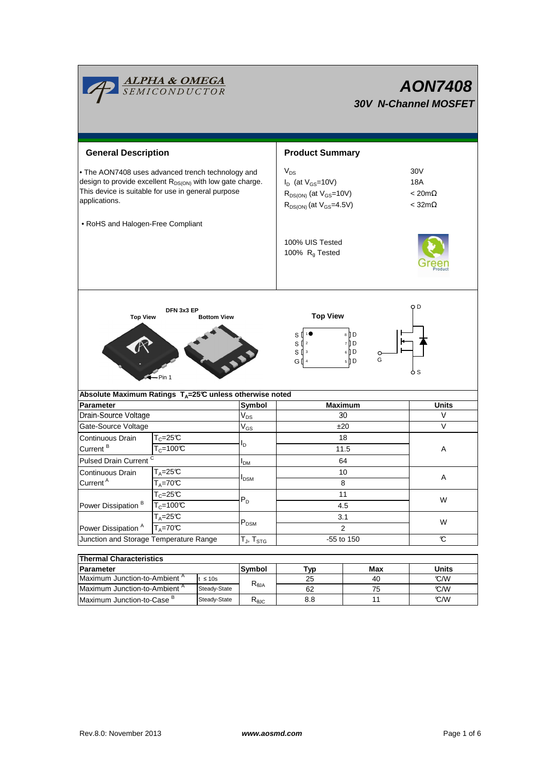|                                                                                                                                                                                                   | <b>ALPHA &amp; OMEGA</b><br>SEMICONDUCTOR                           |                                            | <b>AON7408</b><br><b>30V N-Channel MOSFET</b>                                                                             |            |                                                 |  |  |
|---------------------------------------------------------------------------------------------------------------------------------------------------------------------------------------------------|---------------------------------------------------------------------|--------------------------------------------|---------------------------------------------------------------------------------------------------------------------------|------------|-------------------------------------------------|--|--|
| <b>General Description</b>                                                                                                                                                                        |                                                                     |                                            | <b>Product Summary</b>                                                                                                    |            |                                                 |  |  |
| . The AON7408 uses advanced trench technology and<br>design to provide excellent R <sub>DS(ON)</sub> with low gate charge.<br>This device is suitable for use in general purpose<br>applications. |                                                                     |                                            | $V_{DS}$<br>$I_D$ (at $V_{GS}$ =10V)<br>$R_{DS(ON)}$ (at $V_{GS}$ =10V)<br>$R_{DS(ON)}$ (at $V_{GS} = 4.5V$ )             |            | 30V<br>18A<br>$< 20m\Omega$<br>$<$ 32m $\Omega$ |  |  |
| • RoHS and Halogen-Free Compliant                                                                                                                                                                 |                                                                     |                                            | 100% UIS Tested<br>100% $R_g$ Tested                                                                                      |            |                                                 |  |  |
| <b>Top View</b>                                                                                                                                                                                   | DFN 3x3 EP<br><b>Bottom View</b><br>Pin 1                           |                                            | Q D<br><b>Top View</b><br>8 D<br>S<br>7 D<br>s₫<br>$\overline{2}$<br>6 D<br>S<br>3<br>G<br>5 D<br>GⅡ<br>$\sqrt{4}$<br>o s |            |                                                 |  |  |
|                                                                                                                                                                                                   | Absolute Maximum Ratings T <sub>A</sub> =25℃ unless otherwise noted |                                            |                                                                                                                           |            |                                                 |  |  |
| <b>Parameter</b>                                                                                                                                                                                  |                                                                     | Symbol                                     | <b>Maximum</b>                                                                                                            |            | <b>Units</b>                                    |  |  |
| Drain-Source Voltage                                                                                                                                                                              |                                                                     | $\rm V_{DS}$<br>$\mathsf{V}_{\mathsf{GS}}$ | 30                                                                                                                        |            | V                                               |  |  |
|                                                                                                                                                                                                   | Gate-Source Voltage                                                 |                                            | ±20                                                                                                                       |            | V                                               |  |  |
| Continuous Drain<br>Current <sup>B</sup>                                                                                                                                                          | $T_c = 25C$<br>$T_c = 100C$                                         | ΙD                                         |                                                                                                                           | 18<br>11.5 | Α                                               |  |  |
| Pulsed Drain Current <sup>C</sup>                                                                                                                                                                 |                                                                     | <b>I</b> <sub>DM</sub>                     |                                                                                                                           | 64         |                                                 |  |  |
| Continuous Drain                                                                                                                                                                                  | $T_A = 25C$                                                         |                                            | 10<br><b>I</b> <sub>DSM</sub><br>8                                                                                        |            | A                                               |  |  |
| Current <sup>A</sup>                                                                                                                                                                              | $T_A = 70C$                                                         |                                            |                                                                                                                           |            |                                                 |  |  |
|                                                                                                                                                                                                   | $T_c = 25C$                                                         | $\mathsf{P}_\mathsf{D}$                    |                                                                                                                           | 11         | W                                               |  |  |
| Power Dissipation <sup>B</sup>                                                                                                                                                                    | $T_c = 100C$                                                        |                                            | 4.5                                                                                                                       |            |                                                 |  |  |
|                                                                                                                                                                                                   | $T_A = 25C$                                                         | $\mathsf{P}_\mathsf{DSM}$                  | 3.1<br>$\overline{2}$                                                                                                     |            | W                                               |  |  |
| Power Dissipation <sup>A</sup>                                                                                                                                                                    | $T_A = 70C$                                                         |                                            |                                                                                                                           |            |                                                 |  |  |
| Junction and Storage Temperature Range                                                                                                                                                            |                                                                     | $T_{\text{J}}$ , $T_{\text{STG}}$          | -55 to 150                                                                                                                |            | C                                               |  |  |
|                                                                                                                                                                                                   |                                                                     |                                            |                                                                                                                           |            |                                                 |  |  |
| <b>Thermal Characteristics</b><br>Parameter                                                                                                                                                       |                                                                     |                                            |                                                                                                                           | Max        | <b>Units</b>                                    |  |  |
|                                                                                                                                                                                                   |                                                                     | Symbol                                     | <b>Typ</b>                                                                                                                |            |                                                 |  |  |

| l Thermal Characteristics                |               |                        |     |       |     |  |  |  |
|------------------------------------------|---------------|------------------------|-----|-------|-----|--|--|--|
| <b>Parameter</b>                         | <b>Symbol</b> | Typ                    | Max | Units |     |  |  |  |
| Maximum Junction-to-Ambient <sup>"</sup> | ≤ 10s         |                        | 25  | 40    | C/M |  |  |  |
| Maximum Junction-to-Ambient <sup>"</sup> | Steady-State  | $R_{\theta JA}$        | 62  | 75    | C/M |  |  |  |
| IMaximum Junction-to-Case <sup>B</sup>   | Steady-State  | $R_{\theta \text{JC}}$ | 8.8 |       | C/M |  |  |  |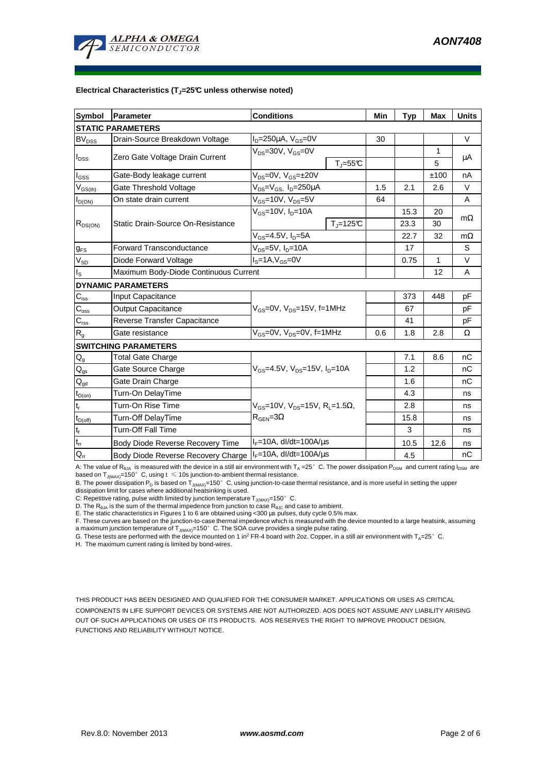

#### **Electrical Characteristics (TJ=25°C unless otherwise noted)**

| <b>Symbol</b>                           | Parameter                             | <b>Conditions</b>                                                                                        |                              | Min  | <b>Typ</b> | <b>Max</b> | <b>Units</b> |  |
|-----------------------------------------|---------------------------------------|----------------------------------------------------------------------------------------------------------|------------------------------|------|------------|------------|--------------|--|
| <b>STATIC PARAMETERS</b>                |                                       |                                                                                                          |                              |      |            |            |              |  |
| <b>BV<sub>DSS</sub></b>                 | Drain-Source Breakdown Voltage        | $I_D = 250 \mu A$ , $V_{GS} = 0V$                                                                        |                              | 30   |            |            | $\vee$       |  |
| $I_{\text{DSS}}$                        | Zero Gate Voltage Drain Current       | $V_{DS}$ =30V, $V_{GS}$ =0V                                                                              |                              |      |            | 1          |              |  |
|                                         |                                       |                                                                                                          | $T_{\text{J}} = 55^{\circ}C$ |      |            | 5          | μA           |  |
| $I_{GSS}$                               | Gate-Body leakage current             | $V_{DS} = 0V$ , $V_{GS} = \pm 20V$                                                                       |                              |      |            | ±100       | nA           |  |
| $\mathsf{V}_{\mathsf{GS}(\mathsf{th})}$ | Gate Threshold Voltage                | $V_{DS} = V_{GS}$ , $I_D = 250 \mu A$                                                                    |                              | 1.5  | 2.1        | 2.6        | V            |  |
| $I_{D(ON)}$                             | On state drain current                | $V_{GS}$ =10V, $V_{DS}$ =5V                                                                              |                              | 64   |            |            | A            |  |
| $R_{DS(ON)}$                            | Static Drain-Source On-Resistance     | $V_{GS}$ =10V, $I_D$ =10A                                                                                |                              |      | 15.3       | 20         | $m\Omega$    |  |
|                                         |                                       |                                                                                                          | $T_{\parallel} = 125$ °C     |      | 23.3       | 30         |              |  |
|                                         |                                       | $V_{GS}$ =4.5V, $I_D$ =5A                                                                                |                              |      | 22.7       | 32         | $m\Omega$    |  |
| <b>g</b> <sub>FS</sub>                  | <b>Forward Transconductance</b>       | $V_{DS}$ =5V, $I_D$ =10A                                                                                 |                              |      | 17         |            | S            |  |
| $V_{SD}$                                | Diode Forward Voltage                 | $IS=1A, VGS=0V$                                                                                          |                              | 0.75 | 1          | V          |              |  |
| $I_{\rm S}$                             | Maximum Body-Diode Continuous Current |                                                                                                          |                              |      |            | 12         | A            |  |
|                                         | <b>DYNAMIC PARAMETERS</b>             |                                                                                                          |                              |      |            |            |              |  |
| $C_{\text{iss}}$                        | Input Capacitance                     | $V_{GS}$ =0V, $V_{DS}$ =15V, f=1MHz                                                                      |                              |      | 373        | 448        | pF           |  |
| $C_{\rm oss}$                           | Output Capacitance                    |                                                                                                          |                              |      | 67         |            | рF           |  |
| $C_{\rm rss}$                           | Reverse Transfer Capacitance          |                                                                                                          |                              | 41   |            | рF         |              |  |
| $R_{g}$                                 | Gate resistance                       | V <sub>GS</sub> =0V, V <sub>DS</sub> =0V, f=1MHz                                                         |                              | 0.6  | 1.8        | 2.8        | Ω            |  |
|                                         | <b>SWITCHING PARAMETERS</b>           |                                                                                                          |                              |      |            |            |              |  |
| $\mathsf{Q}_{\mathsf{g}}$               | Total Gate Charge                     | $V_{\text{GS}}$ =4.5V, $V_{\text{DS}}$ =15V, $I_{\text{D}}$ =10A                                         |                              |      | 7.1        | 8.6        | nC           |  |
| $Q_{gs}$                                | Gate Source Charge                    |                                                                                                          |                              |      | 1.2        |            | nC           |  |
| $\mathsf{Q}_{\underline{\mathsf{gd}}}$  | Gate Drain Charge                     |                                                                                                          |                              |      | 1.6        |            | nC           |  |
| $\mathsf{t}_{\mathsf{D}(\mathsf{on})}$  | Turn-On DelayTime                     | $V_{\text{GS}}$ =10V, $V_{\text{DS}}$ =15V, R <sub>1</sub> =1.5 $\Omega$ ,<br>$R_{\text{GEN}} = 3\Omega$ |                              |      | 4.3        |            | ns           |  |
| $t_r$                                   | Turn-On Rise Time                     |                                                                                                          |                              |      | 2.8        |            | ns           |  |
| $t_{D(off)}$                            | Turn-Off DelayTime                    |                                                                                                          |                              |      | 15.8       |            | ns           |  |
| $\mathbf{t}_\text{f}$                   | <b>Turn-Off Fall Time</b>             |                                                                                                          |                              |      | 3          |            | ns           |  |
| $t_{rr}$                                | Body Diode Reverse Recovery Time      | $I_F = 10A$ , dl/dt=100A/us                                                                              |                              |      | 10.5       | 12.6       | ns           |  |
| $Q_{rr}$                                | Body Diode Reverse Recovery Charge    | $I_F = 10A$ , dl/dt=100A/us                                                                              |                              |      | 4.5        |            | nC           |  |

A: The value of R<sub>8JA</sub> is measured with the device in a still air environment with T<sub>A</sub> =25°C. The power dissipation P<sub>DSM</sub> and current rating I<sub>DSM</sub> are based on  $T_{J(MAX)}=150^\circ$  C, using  $t \le 10s$  junction-to-ambient thermal resistance.

B. The power dissipation P<sub>D</sub> is based on T<sub>J(MAX)</sub>=150°C, using junction-to-case thermal resistance, and is more useful in setting the upper<br>dissipation limit for cases where additional heatsinking is used.

C: Repetitive rating, pulse width limited by junction temperature  $T_{J(MAX)}$ =150°C.

D. The R<sub>θJA</sub> is the sum of the thermal impedence from junction to case R<sub>θJC</sub> and case to ambient.<br>E. The static characteristics in Figures 1 to 6 are obtained using <300 μs pulses, duty cycle 0.5% max.

F. These curves are based on the junction-to-case thermal impedence which is measured with the device mounted to a large heatsink, assuming a maximum junction temperature of T<sub>J(MAX)</sub>=150°C. The SOA curve provides a single pulse rating.

G. These tests are performed with the device mounted on 1 in<sup>2</sup> FR-4 board with 2oz. Copper, in a still air environment with T<sub>A</sub>=25°C.

H. The maximum current rating is limited by bond-wires.

THIS PRODUCT HAS BEEN DESIGNED AND QUALIFIED FOR THE CONSUMER MARKET. APPLICATIONS OR USES AS CRITICAL COMPONENTS IN LIFE SUPPORT DEVICES OR SYSTEMS ARE NOT AUTHORIZED. AOS DOES NOT ASSUME ANY LIABILITY ARISING OUT OF SUCH APPLICATIONS OR USES OF ITS PRODUCTS. AOS RESERVES THE RIGHT TO IMPROVE PRODUCT DESIGN, FUNCTIONS AND RELIABILITY WITHOUT NOTICE.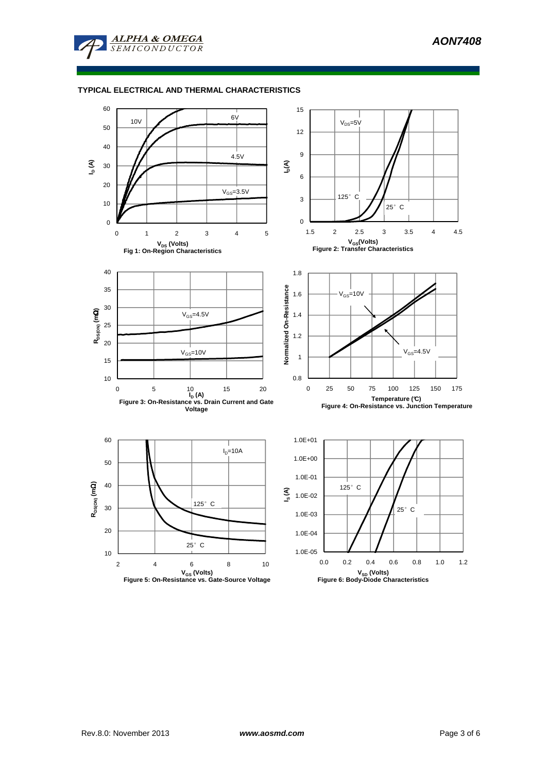

### **TYPICAL ELECTRICAL AND THERMAL CHARACTERISTICS**

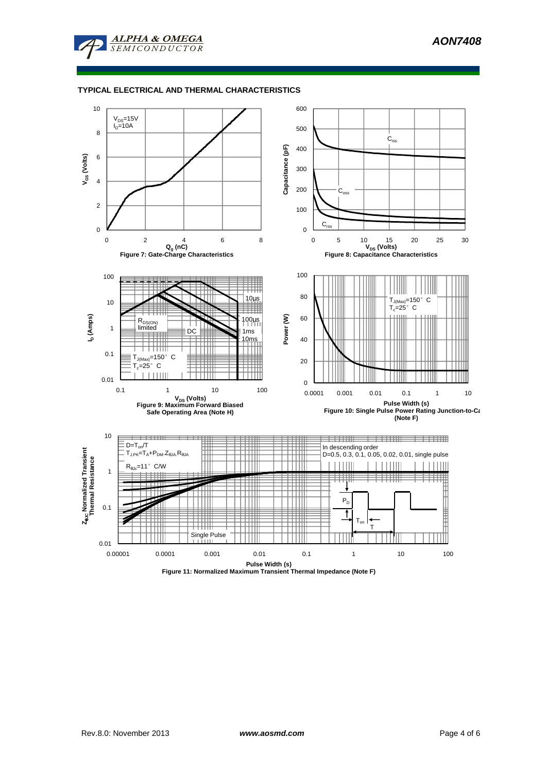

### **TYPICAL ELECTRICAL AND THERMAL CHARACTERISTICS**

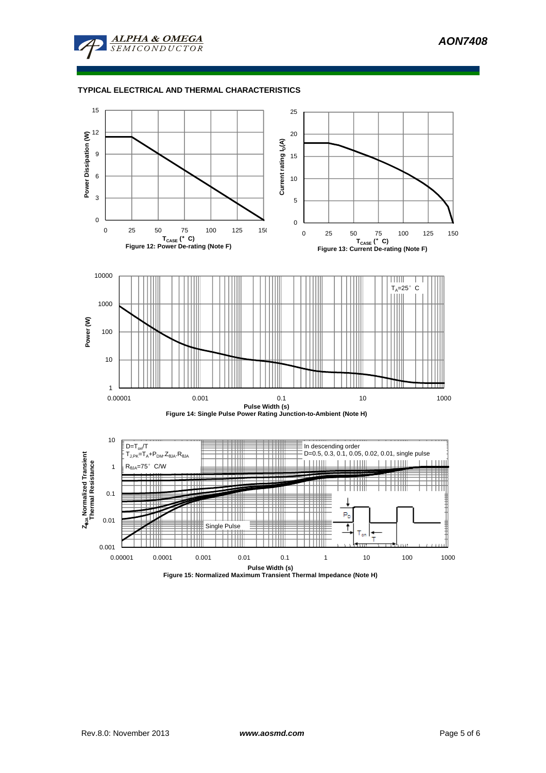

### **TYPICAL ELECTRICAL AND THERMAL CHARACTERISTICS**